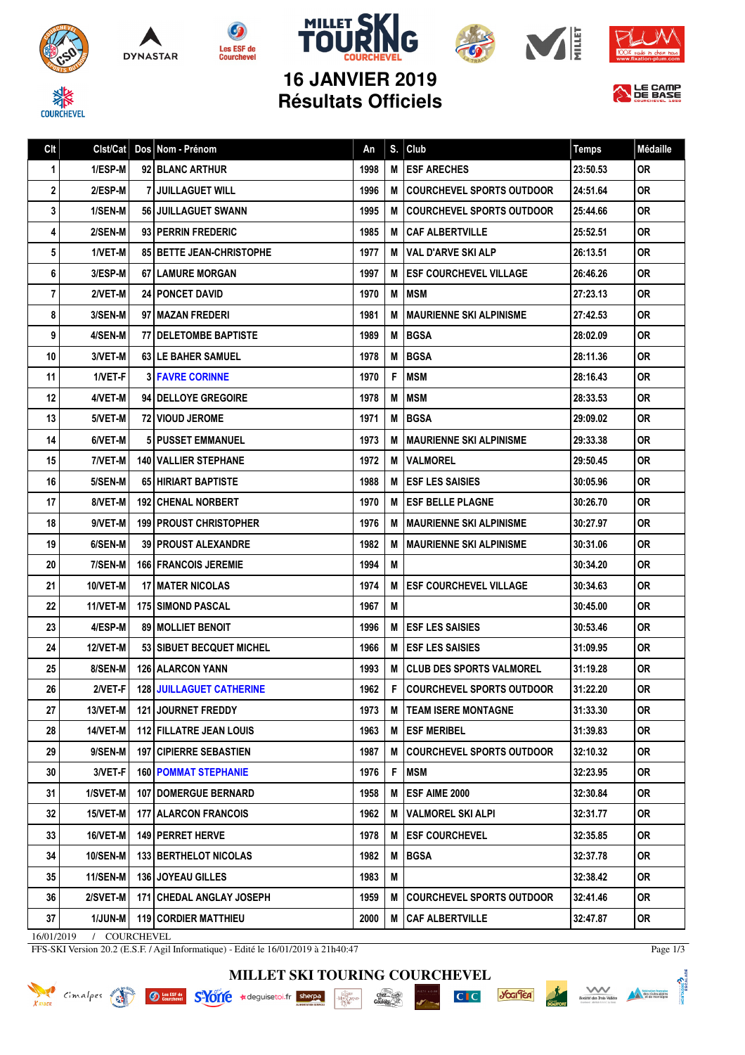









**N** LE CAMP

信

**16 JANVIER 2019 Résultats Officiels**

Clt Clst/Cat Dos Nom - Prénom An S. Club An S. Club Temps Médaille

| 1  | 1/ESP-M         | 92 BLANC ARTHUR                    | 1998 |     | M <b>ESF ARECHES</b>                 | 23:50.53 | OR        |
|----|-----------------|------------------------------------|------|-----|--------------------------------------|----------|-----------|
| 2  | 2/ESP-M         | 7 I JUILLAGUET WILL                | 1996 |     | <b>M   COURCHEVEL SPORTS OUTDOOR</b> | 24:51.64 | 0R        |
| 3  | 1/SEN-M         | 56 JUILLAGUET SWANN                | 1995 | M   | <b>COURCHEVEL SPORTS OUTDOOR</b>     | 25:44.66 | 0R        |
| 4  | 2/SEN-M         | 93 PERRIN FREDERIC                 | 1985 | M   | CAF ALBERTVILLE                      | 25:52.51 | <b>OR</b> |
| 5  | 1/VET-M         | <b>85 BETTE JEAN-CHRISTOPHE</b>    | 1977 | M   | <b>VAL D'ARVE SKI ALP</b>            | 26:13.51 | 0R        |
| 6  | 3/ESP-M         | 67   LAMURE MORGAN                 | 1997 |     | <b>M LESF COURCHEVEL VILLAGE</b>     | 26:46.26 | 0R        |
| 7  | 2/VET-M         | <b>24 PONCET DAVID</b>             | 1970 | M   | <b>MSM</b>                           | 27:23.13 | 0R        |
| 8  | 3/SEN-M         | 97   MAZAN FREDERI                 | 1981 | M   | <b>MAURIENNE SKI ALPINISME</b>       | 27:42.53 | 0R        |
| 9  | 4/SEN-M         | 77 DELETOMBE BAPTISTE              | 1989 | M   | <b>BGSA</b>                          | 28:02.09 | 0R        |
| 10 | 3/VET-M         | <b>63 I LE BAHER SAMUEL</b>        | 1978 | M   | <b>BGSA</b>                          | 28:11.36 | 0R        |
| 11 | 1/VET-F         | <b>3 FAVRE CORINNE</b>             | 1970 | F   | <b>MSM</b>                           | 28:16.43 | 0R        |
| 12 | 4/VET-M         | <b>94   DELLOYE GREGOIRE</b>       | 1978 | M   | MSM                                  | 28:33.53 | 0R        |
| 13 | 5/VET-M         | 72   VIOUD JEROME                  | 1971 | M   | <b>BGSA</b>                          | 29:09.02 | 0R        |
| 14 | 6/VET-M         | <b>51 PUSSET EMMANUEL</b>          | 1973 | M   | <b>MAURIENNE SKI ALPINISME</b>       | 29:33.38 | <b>OR</b> |
| 15 | 7/VET-M         | <b>140 VALLIER STEPHANE</b>        | 1972 | M   | <b>VALMOREL</b>                      | 29:50.45 | 0R        |
| 16 | 5/SEN-M         | 65 HIRIART BAPTISTE                | 1988 | M   | <b>ESF LES SAISIES</b>               | 30:05.96 | 0R        |
| 17 | 8/VET-M         | <b>192 CHENAL NORBERT</b>          | 1970 |     | <b>M LESF BELLE PLAGNE</b>           | 30:26.70 | 0R        |
| 18 | 9/VET-M         | <b>199 PROUST CHRISTOPHER</b>      | 1976 | M   | <b>MAURIENNE SKI ALPINISME</b>       | 30:27.97 | <b>OR</b> |
| 19 | 6/SEN-M         | <b>39 I PROUST ALEXANDRE</b>       | 1982 | M   | <b>MAURIENNE SKI ALPINISME</b>       | 30:31.06 | 0R        |
| 20 | 7/SEN-M         | <b>166   FRANCOIS JEREMIE</b>      | 1994 | M   |                                      | 30:34.20 | 0R        |
| 21 | <b>10/VET-M</b> | <b>17   MATER NICOLAS</b>          | 1974 | M   | <b>ESF COURCHEVEL VILLAGE</b>        | 30:34.63 | 0R        |
| 22 | 11/VET-M        | <b>175 I SIMOND PASCAL</b>         | 1967 | M   |                                      | 30:45.00 | 0R        |
| 23 | 4/ESP-M         | <b>89   MOLLIET BENOIT</b>         | 1996 |     | <b>M LESF LES SAISIES</b>            | 30:53.46 | 0R        |
| 24 | <b>12/VET-M</b> | 53 SIBUET BECQUET MICHEL           | 1966 | M   | <b>ESF LES SAISIES</b>               | 31:09.95 | 0R        |
| 25 | 8/SEN-M         | <b>126   ALARCON YANN</b>          | 1993 | M   | CLUB DES SPORTS VALMOREL             | 31:19.28 | 0R        |
| 26 | 2/VET-F         | <b>128 JUILLAGUET CATHERINE</b>    | 1962 | F.  | <b>COURCHEVEL SPORTS OUTDOOR</b>     | 31:22.20 | 0R        |
| 27 | 13/VET-M        | <b>121 JOURNET FREDDY</b>          | 1973 | M   | <b>TEAM ISERE MONTAGNE</b>           | 31:33.30 | OR        |
| 28 | 14/VET-M        | 112 FILLATRE JEAN LOUIS            | 1963 |     | <b>M ESF MERIBEL</b>                 | 31:39.83 | <b>OR</b> |
| 29 | 9/SEN-M         | <b>197   CIPIERRE SEBASTIEN</b>    | 1987 |     | M COURCHEVEL SPORTS OUTDOOR          | 32:10.32 | 0R        |
| 30 | 3/VET-F         | <b>160   POMMAT STEPHANIE</b>      | 1976 | F I | <b>MSM</b>                           | 32:23.95 | OR        |
| 31 | 1/SVET-M        | <b>107   DOMERGUE BERNARD</b>      | 1958 | M   | ESF AIME 2000                        | 32:30.84 | 0R        |
| 32 | 15/VET-M        | <b>177   ALARCON FRANCOIS</b>      | 1962 | МI  | <b>VALMOREL SKI ALPI</b>             | 32:31.77 | 0R.       |
| 33 | 16/VET-M        | 149 PERRET HERVE                   | 1978 | M   | <b>ESF COURCHEVEL</b>                | 32:35.85 | 0R        |
| 34 |                 | 10/SEN-M   133   BERTHELOT NICOLAS | 1982 |     | M BGSA                               | 32:37.78 | 0R        |

16/01/2019 / COURCHEVEL

FFS-SKI Version 20.2 (E.S.F. / Agil Informatique) - Edité le 16/01/2019 à 21h40:47

Page 1/3



35 | 11/SEN-M | 136 | JOYEAU GILLES | 1983 | M | 1983 | M | 32:38.42 | OR 36 2/SVET-M 171 CHEDAL ANGLAY JOSEPH 1959 | M COURCHEVEL SPORTS OUTDOOR 32:41.46 OR 37 | 1/JUN-M | 119 CORDIER MATTHIEU | 2000 | M | 2000 | M | CAF ALBERTVILLE | 32:47.87 | OR









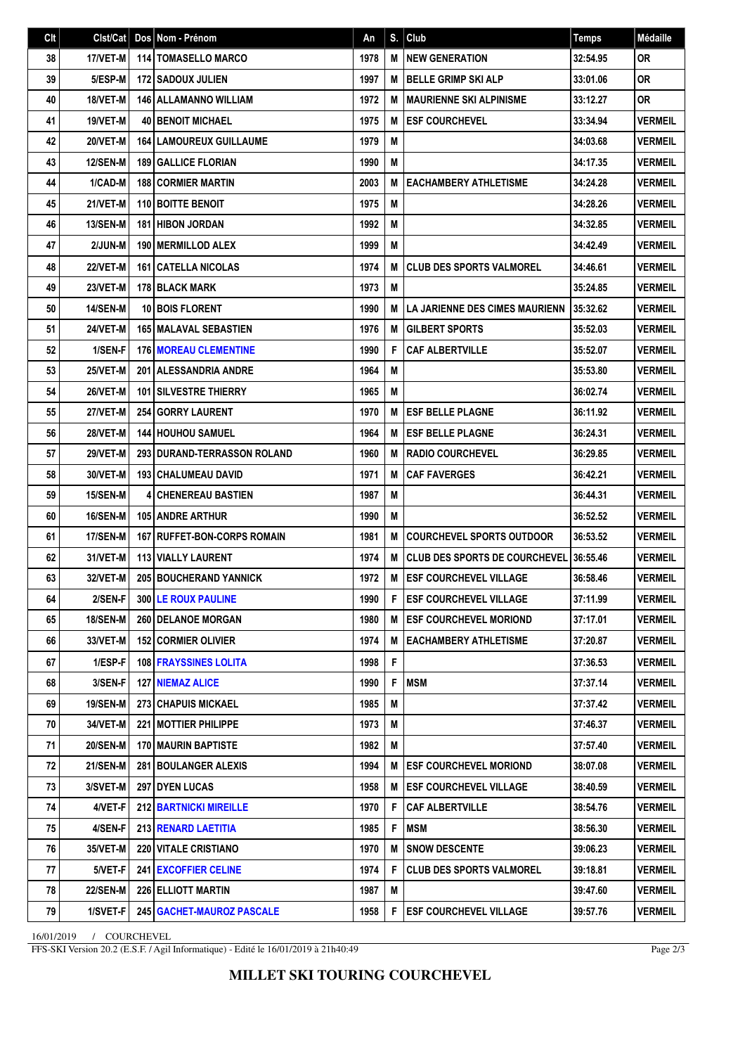| Clt | Clst/Cat        | Dos Nom - Prénom                   | An   | S. | <b>Club</b>                          | <b>Temps</b> | <b>Médaille</b> |
|-----|-----------------|------------------------------------|------|----|--------------------------------------|--------------|-----------------|
| 38  | 17/VET-M        | <b>114 TOMASELLO MARCO</b>         | 1978 | M  | <b>NEW GENERATION</b>                | 32:54.95     | <b>OR</b>       |
| 39  | 5/ESP-M         | <b>172   SADOUX JULIEN</b>         | 1997 | M  | <b>BELLE GRIMP SKI ALP</b>           | 33:01.06     | 0R              |
| 40  | 18/VET-M        | <b>146 ALLAMANNO WILLIAM</b>       | 1972 | M  | <b>MAURIENNE SKI ALPINISME</b>       | 33:12.27     | <b>OR</b>       |
| 41  | 19/VET-M        | <b>40 BENOIT MICHAEL</b>           | 1975 | M  | <b>ESF COURCHEVEL</b>                | 33:34.94     | <b>VERMEIL</b>  |
| 42  | 20/VET-M        | <b>164 LAMOUREUX GUILLAUME</b>     | 1979 | M  |                                      | 34:03.68     | <b>VERMEIL</b>  |
| 43  | <b>12/SEN-M</b> | <b>189 GALLICE FLORIAN</b>         | 1990 | M  |                                      | 34:17.35     | <b>VERMEIL</b>  |
| 44  | 1/CAD-M         | <b>188 CORMIER MARTIN</b>          | 2003 | M  | <b>EACHAMBERY ATHLETISME</b>         | 34:24.28     | <b>VERMEIL</b>  |
| 45  | 21/VET-M        | <b>110 BOITTE BENOIT</b>           | 1975 | M  |                                      | 34:28.26     | <b>VERMEIL</b>  |
| 46  | <b>13/SEN-M</b> | <b>181 HIBON JORDAN</b>            | 1992 | M  |                                      | 34:32.85     | <b>VERMEIL</b>  |
| 47  | 2/JUN-M         | 190   MERMILLOD ALEX               | 1999 | M  |                                      | 34:42.49     | <b>VERMEIL</b>  |
| 48  | <b>22/VET-M</b> | <b>161   CATELLA NICOLAS</b>       | 1974 | M  | <b>CLUB DES SPORTS VALMOREL</b>      | 34:46.61     | <b>VERMEIL</b>  |
| 49  | 23/VET-M        | <b>178 BLACK MARK</b>              | 1973 | M  |                                      | 35:24.85     | <b>VERMEIL</b>  |
| 50  | <b>14/SEN-M</b> | <b>10 BOIS FLORENT</b>             | 1990 | М  | LA JARIENNE DES CIMES MAURIENN       | 35:32.62     | <b>VERMEIL</b>  |
| 51  | 24/VET-M        | <b>165   MALAVAL SEBASTIEN</b>     | 1976 | M  | <b>GILBERT SPORTS</b>                | 35:52.03     | <b>VERMEIL</b>  |
| 52  | 1/SEN-F         | <b>176 MOREAU CLEMENTINE</b>       | 1990 | F  | <b>CAF ALBERTVILLE</b>               | 35:52.07     | <b>VERMEIL</b>  |
| 53  | 25/VET-M        | 201 ALESSANDRIA ANDRE              | 1964 | M  |                                      | 35:53.80     | <b>VERMEIL</b>  |
| 54  | 26/VET-M        | <b>101 SILVESTRE THIERRY</b>       | 1965 | M  |                                      | 36:02.74     | <b>VERMEIL</b>  |
| 55  | 27/VET-M        | <b>254 GORRY LAURENT</b>           | 1970 | M  | <b>ESF BELLE PLAGNE</b>              | 36:11.92     | <b>VERMEIL</b>  |
| 56  | <b>28/VET-M</b> | <b>144 HOUHOU SAMUEL</b>           | 1964 | M  | <b>ESF BELLE PLAGNE</b>              | 36:24.31     | <b>VERMEIL</b>  |
| 57  | 29/VET-M        | <b>293 DURAND-TERRASSON ROLAND</b> | 1960 | M  | <b>RADIO COURCHEVEL</b>              | 36:29.85     | <b>VERMEIL</b>  |
| 58  | 30/VET-M        | 193 CHALUMEAU DAVID                | 1971 | M  | <b>CAF FAVERGES</b>                  | 36:42.21     | <b>VERMEIL</b>  |
| 59  | <b>15/SEN-M</b> | <b>4 CHENEREAU BASTIEN</b>         | 1987 | M  |                                      | 36:44.31     | <b>VERMEIL</b>  |
| 60  | 16/SEN-M        | <b>105 ANDRE ARTHUR</b>            | 1990 | M  |                                      | 36:52.52     | <b>VERMEIL</b>  |
| 61  | 17/SEN-M        | 167 RUFFET-BON-CORPS ROMAIN        | 1981 | M  | <b>COURCHEVEL SPORTS OUTDOOR</b>     | 36:53.52     | <b>VERMEIL</b>  |
| 62  | 31/VET-M        | 113 VIALLY LAURENT                 | 1974 | M  | <b>CLUB DES SPORTS DE COURCHEVEL</b> | 36:55.46     | <b>VERMEIL</b>  |
| 63  | 32/VET-M        | <b>205 BOUCHERAND YANNICK</b>      | 1972 | M  | <b>ESF COURCHEVEL VILLAGE</b>        | 36:58.46     | <b>VERMEIL</b>  |
| 64  | 2/SEN-F         | 300 LE ROUX PAULINE                | 1990 | F  | <b>ESF COURCHEVEL VILLAGE</b>        | 37:11.99     | <b>VERMEIL</b>  |
| 65  | 18/SEN-M        | 260 DELANOE MORGAN                 | 1980 | M  | <b>ESF COURCHEVEL MORIOND</b>        | 37:17.01     | <b>VERMEIL</b>  |
| 66  | 33/VET-M        | <b>152 CORMIER OLIVIER</b>         | 1974 | M  | <b>EACHAMBERY ATHLETISME</b>         | 37:20.87     | <b>VERMEIL</b>  |
| 67  | 1/ESP-F         | <b>108 FRAYSSINES LOLITA</b>       | 1998 | F  |                                      | 37:36.53     | <b>VERMEIL</b>  |
| 68  | 3/SEN-F         | <b>127   NIEMAZ ALICE</b>          | 1990 | F  | <b>MSM</b>                           | 37:37.14     | <b>VERMEIL</b>  |
| 69  | 19/SEN-M        | 273 CHAPUIS MICKAEL                | 1985 | M  |                                      | 37:37.42     | <b>VERMEIL</b>  |
| 70  | 34/VET-M        | 221 MOTTIER PHILIPPE               | 1973 | M  |                                      | 37:46.37     | <b>VERMEIL</b>  |
| 71  | <b>20/SEN-M</b> | <b>170   MAURIN BAPTISTE</b>       | 1982 | M  |                                      | 37:57.40     | <b>VERMEIL</b>  |
| 72  | <b>21/SEN-M</b> | 281 BOULANGER ALEXIS               | 1994 | M  | <b>ESF COURCHEVEL MORIOND</b>        | 38:07.08     | <b>VERMEIL</b>  |
| 73  | 3/SVET-M        | <b>297 DYEN LUCAS</b>              | 1958 | M  | <b>ESF COURCHEVEL VILLAGE</b>        | 38:40.59     | <b>VERMEIL</b>  |
| 74  | 4/VET-F         | <b>212 BARTNICKI MIREILLE</b>      | 1970 | F  | <b>CAF ALBERTVILLE</b>               | 38:54.76     | <b>VERMEIL</b>  |
| 75  | 4/SEN-F         | 213 RENARD LAETITIA                | 1985 | F  | <b>MSM</b>                           | 38:56.30     | <b>VERMEIL</b>  |
| 76  | 35/VET-M        | <b>220 VITALE CRISTIANO</b>        | 1970 | M  | <b>SNOW DESCENTE</b>                 | 39:06.23     | <b>VERMEIL</b>  |
| 77  | 5/VET-F         | 241 EXCOFFIER CELINE               | 1974 | F  | <b>CLUB DES SPORTS VALMOREL</b>      | 39:18.81     | <b>VERMEIL</b>  |
| 78  | <b>22/SEN-M</b> | 226 ELLIOTT MARTIN                 | 1987 | M  |                                      | 39:47.60     | <b>VERMEIL</b>  |
| 79  | 1/SVET-F        | 245   GACHET-MAUROZ PASCALE        | 1958 | F  | <b>ESF COURCHEVEL VILLAGE</b>        | 39:57.76     | <b>VERMEIL</b>  |

16/01/2019 / COURCHEVEL

FFS-SKI Version 20.2 (E.S.F. / Agil Informatique) - Edité le 16/01/2019 à 21h40:49

Page 2/3

**MILLET SKI TOURING COURCHEVEL**